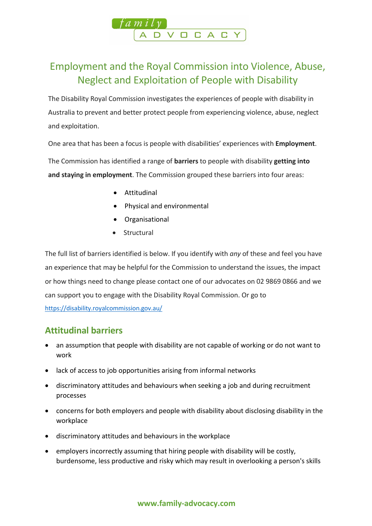

# Employment and the Royal Commission into Violence, Abuse, Neglect and Exploitation of People with Disability

The Disability Royal Commission investigates the experiences of people with disability in Australia to prevent and better protect people from experiencing violence, abuse, neglect and exploitation.

One area that has been a focus is people with disabilities' experiences with **Employment**.

The Commission has identified a range of **barriers** to people with disability **getting into and staying in employment**. The Commission grouped these barriers into four areas:

- Attitudinal
- Physical and environmental
- Organisational
- **Structural**

The full list of barriers identified is below. If you identify with *any* of these and feel you have an experience that may be helpful for the Commission to understand the issues, the impact or how things need to change please contact one of our advocates on 02 9869 0866 and we can support you to engage with the Disability Royal Commission. Or go to <https://disability.royalcommission.gov.au/>

### **Attitudinal barriers**

- an assumption that people with disability are not capable of working or do not want to work
- lack of access to job opportunities arising from informal networks
- discriminatory attitudes and behaviours when seeking a job and during recruitment processes
- concerns for both employers and people with disability about disclosing disability in the workplace
- discriminatory attitudes and behaviours in the workplace
- employers incorrectly assuming that hiring people with disability will be costly, burdensome, less productive and risky which may result in overlooking a person's skills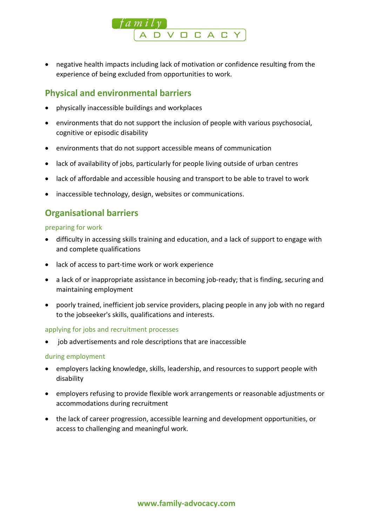

• negative health impacts including lack of motivation or confidence resulting from the experience of being excluded from opportunities to work.

### **Physical and environmental barriers**

- physically inaccessible buildings and workplaces
- environments that do not support the inclusion of people with various psychosocial, cognitive or episodic disability
- environments that do not support accessible means of communication
- lack of availability of jobs, particularly for people living outside of urban centres
- lack of affordable and accessible housing and transport to be able to travel to work
- inaccessible technology, design, websites or communications.

### **Organisational barriers**

preparing for work

- difficulty in accessing skills training and education, and a lack of support to engage with and complete qualifications
- lack of access to part-time work or work experience
- a lack of or inappropriate assistance in becoming job-ready; that is finding, securing and maintaining employment
- poorly trained, inefficient job service providers, placing people in any job with no regard to the jobseeker's skills, qualifications and interests.

#### applying for jobs and recruitment processes

• job advertisements and role descriptions that are inaccessible

#### during employment

- employers lacking knowledge, skills, leadership, and resources to support people with disability
- employers refusing to provide flexible work arrangements or reasonable adjustments or accommodations during recruitment
- the lack of career progression, accessible learning and development opportunities, or access to challenging and meaningful work.